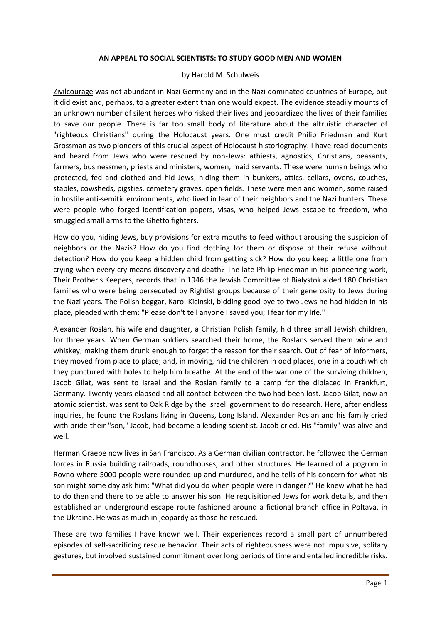### **AN APPEAL TO SOCIAL SCIENTISTS: TO STUDY GOOD MEN AND WOMEN**

#### by Harold M. Schulweis

Zivilcourage was not abundant in Nazi Germany and in the Nazi dominated countries of Europe, but it did exist and, perhaps, to a greater extent than one would expect. The evidence steadily mounts of an unknown number of silent heroes who risked their lives and jeopardized the lives of their families to save our people. There is far too small body of literature about the altruistic character of "righteous Christians" during the Holocaust years. One must credit Philip Friedman and Kurt Grossman as two pioneers of this crucial aspect of Holocaust historiography. I have read documents and heard from Jews who were rescued by non-Jews: athiests, agnostics, Christians, peasants, farmers, businessmen, priests and ministers, women, maid servants. These were human beings who protected, fed and clothed and hid Jews, hiding them in bunkers, attics, cellars, ovens, couches, stables, cowsheds, pigsties, cemetery graves, open fields. These were men and women, some raised in hostile anti-semitic environments, who lived in fear of their neighbors and the Nazi hunters. These were people who forged identification papers, visas, who helped Jews escape to freedom, who smuggled small arms to the Ghetto fighters.

How do you, hiding Jews, buy provisions for extra mouths to feed without arousing the suspicion of neighbors or the Nazis? How do you find clothing for them or dispose of their refuse without detection? How do you keep a hidden child from getting sick? How do you keep a little one from crying-when every cry means discovery and death? The late Philip Friedman in his pioneering work, Their Brother's Keepers, records that in 1946 the Jewish Committee of Bialystok aided 180 Christian families who were being persecuted by Rightist groups because of their generosity to Jews during the Nazi years. The Polish beggar, Karol Kicinski, bidding good-bye to two Jews he had hidden in his place, pleaded with them: "Please don't tell anyone I saved you; I fear for my life."

Alexander Roslan, his wife and daughter, a Christian Polish family, hid three small Jewish children, for three years. When German soldiers searched their home, the Roslans served them wine and whiskey, making them drunk enough to forget the reason for their search. Out of fear of informers, they moved from place to place; and, in moving, hid the children in odd places, one in a couch which they punctured with holes to help him breathe. At the end of the war one of the surviving children, Jacob Gilat, was sent to Israel and the Roslan family to a camp for the diplaced in Frankfurt, Germany. Twenty years elapsed and all contact between the two had been lost. Jacob Gilat, now an atomic scientist, was sent to Oak Ridge by the Israeli government to do research. Here, after endless inquiries, he found the Roslans living in Queens, Long Island. Alexander Roslan and his family cried with pride-their "son," Jacob, had become a leading scientist. Jacob cried. His "family" was alive and well.

Herman Graebe now lives in San Francisco. As a German civilian contractor, he followed the German forces in Russia building railroads, roundhouses, and other structures. He learned of a pogrom in Rovno where 5000 people were rounded up and murdured, and he tells of his concern for what his son might some day ask him: "What did you do when people were in danger?" He knew what he had to do then and there to be able to answer his son. He requisitioned Jews for work details, and then established an underground escape route fashioned around a fictional branch office in Poltava, in the Ukraine. He was as much in jeopardy as those he rescued.

These are two families I have known well. Their experiences record a small part of unnumbered episodes of self-sacrificing rescue behavior. Their acts of righteousness were not impulsive, solitary gestures, but involved sustained commitment over long periods of time and entailed incredible risks.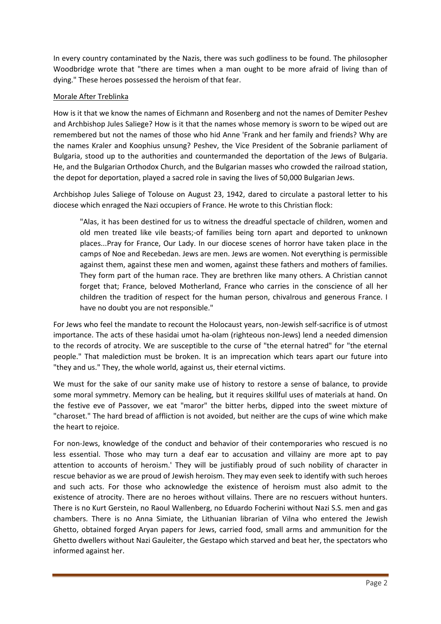In every country contaminated by the Nazis, there was such godliness to be found. The philosopher Woodbridge wrote that "there are times when a man ought to be more afraid of living than of dying." These heroes possessed the heroism of that fear.

# Morale After Treblinka

How is it that we know the names of Eichmann and Rosenberg and not the names of Demiter Peshev and Archbishop Jules Saliege? How is it that the names whose memory is sworn to be wiped out are remembered but not the names of those who hid Anne 'Frank and her family and friends? Why are the names Kraler and Koophius unsung? Peshev, the Vice President of the Sobranie parliament of Bulgaria, stood up to the authorities and countermanded the deportation of the Jews of Bulgaria. He, and the Bulgarian Orthodox Church, and the Bulgarian masses who crowded the railroad station, the depot for deportation, played a sacred role in saving the lives of 50,000 Bulgarian Jews.

Archbishop Jules Saliege of Tolouse on August 23, 1942, dared to circulate a pastoral letter to his diocese which enraged the Nazi occupiers of France. He wrote to this Christian flock:

"Alas, it has been destined for us to witness the dreadful spectacle of children, women and old men treated like vile beasts;-of families being torn apart and deported to unknown places...Pray for France, Our Lady. In our diocese scenes of horror have taken place in the camps of Noe and Recebedan. Jews are men. Jews are women. Not everything is permissible against them, against these men and women, against these fathers and mothers of families. They form part of the human race. They are brethren like many others. A Christian cannot forget that; France, beloved Motherland, France who carries in the conscience of all her children the tradition of respect for the human person, chivalrous and generous France. I have no doubt you are not responsible."

For Jews who feel the mandate to recount the Holocaust years, non-Jewish self-sacrifice is of utmost importance. The acts of these hasidai umot ha-olam (righteous non-Jews) lend a needed dimension to the records of atrocity. We are susceptible to the curse of "the eternal hatred" for "the eternal people." That malediction must be broken. It is an imprecation which tears apart our future into "they and us." They, the whole world, against us, their eternal victims.

We must for the sake of our sanity make use of history to restore a sense of balance, to provide some moral symmetry. Memory can be healing, but it requires skillful uses of materials at hand. On the festive eve of Passover, we eat "maror" the bitter herbs, dipped into the sweet mixture of "charoset." The hard bread of affliction is not avoided, but neither are the cups of wine which make the heart to rejoice.

For non-Jews, knowledge of the conduct and behavior of their contemporaries who rescued is no less essential. Those who may turn a deaf ear to accusation and villainy are more apt to pay attention to accounts of heroism.' They will be justifiably proud of such nobility of character in rescue behavior as we are proud of Jewish heroism. They may even seek to identify with such heroes and such acts. For those who acknowledge the existence of heroism must also admit to the existence of atrocity. There are no heroes without villains. There are no rescuers without hunters. There is no Kurt Gerstein, no Raoul Wallenberg, no Eduardo Focherini without Nazi S.S. men and gas chambers. There is no Anna Simiate, the Lithuanian librarian of Vilna who entered the Jewish Ghetto, obtained forged Aryan papers for Jews, carried food, small arms and ammunition for the Ghetto dwellers without Nazi Gauleiter, the Gestapo which starved and beat her, the spectators who informed against her.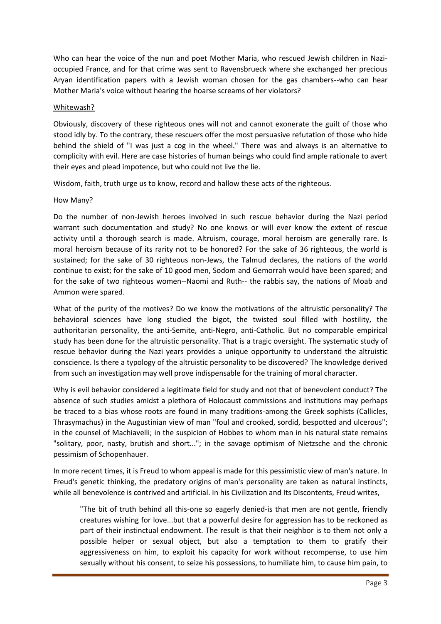Who can hear the voice of the nun and poet Mother Maria, who rescued Jewish children in Nazioccupied France, and for that crime was sent to Ravensbrueck where she exchanged her precious Aryan identification papers with a Jewish woman chosen for the gas chambers--who can hear Mother Maria's voice without hearing the hoarse screams of her violators?

## Whitewash?

Obviously, discovery of these righteous ones will not and cannot exonerate the guilt of those who stood idly by. To the contrary, these rescuers offer the most persuasive refutation of those who hide behind the shield of "I was just a cog in the wheel." There was and always is an alternative to complicity with evil. Here are case histories of human beings who could find ample rationale to avert their eyes and plead impotence, but who could not live the lie.

Wisdom, faith, truth urge us to know, record and hallow these acts of the righteous.

## How Many?

Do the number of non-Jewish heroes involved in such rescue behavior during the Nazi period warrant such documentation and study? No one knows or will ever know the extent of rescue activity until a thorough search is made. Altruism, courage, moral heroism are generally rare. Is moral heroism because of its rarity not to be honored? For the sake of 36 righteous, the world is sustained; for the sake of 30 righteous non-Jews, the Talmud declares, the nations of the world continue to exist; for the sake of 10 good men, Sodom and Gemorrah would have been spared; and for the sake of two righteous women--Naomi and Ruth-- the rabbis say, the nations of Moab and Ammon were spared.

What of the purity of the motives? Do we know the motivations of the altruistic personality? The behavioral sciences have long studied the bigot, the twisted soul filled with hostility, the authoritarian personality, the anti-Semite, anti-Negro, anti-Catholic. But no comparable empirical study has been done for the altruistic personality. That is a tragic oversight. The systematic study of rescue behavior during the Nazi years provides a unique opportunity to understand the altruistic conscience. Is there a typology of the altruistic personality to be discovered? The knowledge derived from such an investigation may well prove indispensable for the training of moral character.

Why is evil behavior considered a legitimate field for study and not that of benevolent conduct? The absence of such studies amidst a plethora of Holocaust commissions and institutions may perhaps be traced to a bias whose roots are found in many traditions-among the Greek sophists (Callicles, Thrasymachus) in the Augustinian view of man "foul and crooked, sordid, bespotted and ulcerous"; in the counsel of Machiavelli; in the suspicion of Hobbes to whom man in his natural state remains "solitary, poor, nasty, brutish and short..."; in the savage optimism of Nietzsche and the chronic pessimism of Schopenhauer.

In more recent times, it is Freud to whom appeal is made for this pessimistic view of man's nature. In Freud's genetic thinking, the predatory origins of man's personality are taken as natural instincts, while all benevolence is contrived and artificial. In his Civilization and Its Discontents, Freud writes,

"The bit of truth behind all this-one so eagerly denied-is that men are not gentle, friendly creatures wishing for love...but that a powerful desire for aggression has to be reckoned as part of their instinctual endowment. The result is that their neighbor is to them not only a possible helper or sexual object, but also a temptation to them to gratify their aggressiveness on him, to exploit his capacity for work without recompense, to use him sexually without his consent, to seize his possessions, to humiliate him, to cause him pain, to